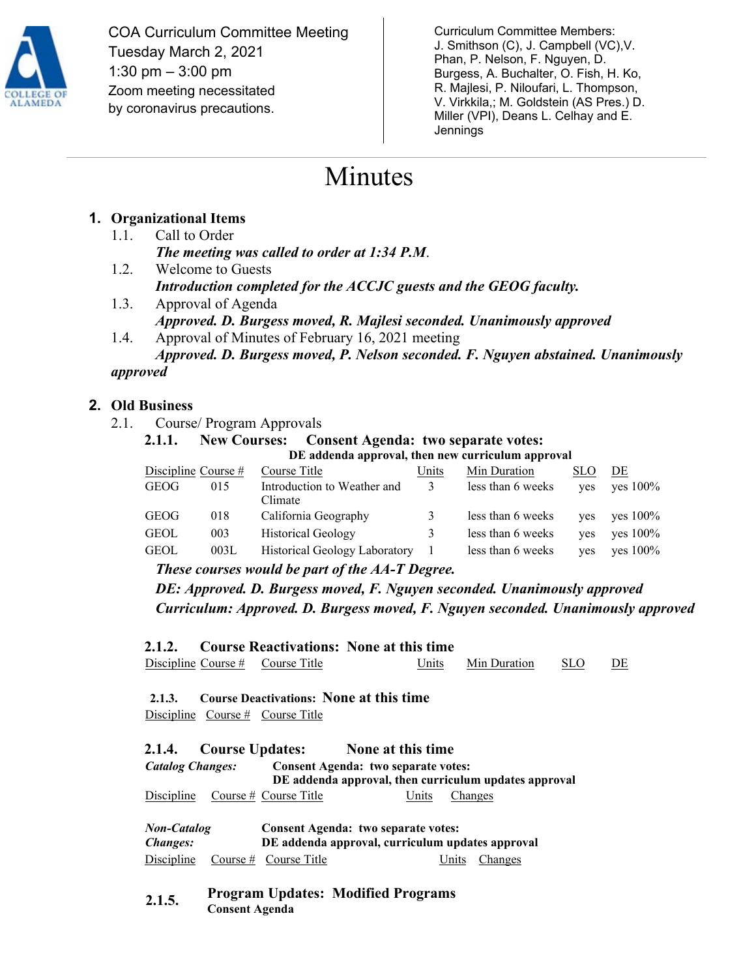

COA Curriculum Committee Meeting Tuesday March 2, 2021 1:30 pm – 3:00 pm Zoom meeting necessitated by coronavirus precautions.

Curriculum Committee Members: J. Smithson (C), J. Campbell (VC),V. Phan, P. Nelson, F. Nguyen, D. Burgess, A. Buchalter, O. Fish, H. Ko, R. Majlesi, P. Niloufari, L. Thompson, V. Virkkila,; M. Goldstein (AS Pres.) D. Miller (VPI), Deans L. Celhay and E. **Jennings** 

# Minutes

## **1. Organizational Items**

- 1.1. Call to Order *The meeting was called to order at 1:34 P.M*.
- 1.2. Welcome to Guests *Introduction completed for the ACCJC guests and the GEOG faculty.*
- 1.3. Approval of Agenda *Approved. D. Burgess moved, R. Majlesi seconded. Unanimously approved* 1.4. Approval of Minutes of February 16, 2021 meeting
- *Approved. D. Burgess moved, P. Nelson seconded. F. Nguyen abstained. Unanimously*

#### *approved*

### **2. Old Business**

- 2.1. Course/ Program Approvals
	- **2.1.1. New Courses: Consent Agenda: two separate votes: DE addenda approval, then new curriculum approval**

| Discipline Course $#$ |      | Course Title                           | Units | Min Duration      | SLO. | DE                  |
|-----------------------|------|----------------------------------------|-------|-------------------|------|---------------------|
| GEOG                  | 015  | Introduction to Weather and<br>Climate | 3     | less than 6 weeks |      | $yes$ $ves$ $100\%$ |
| GEOG                  | 018  | California Geography                   | 3     | less than 6 weeks |      | $yes$ $yes$ $100\%$ |
| <b>GEOL</b>           | 003  | <b>Historical Geology</b>              | 3     | less than 6 weeks |      | yes yes $100\%$     |
| <b>GEOL</b>           | 003L | <b>Historical Geology Laboratory</b>   |       | less than 6 weeks | ves  | $ves 100\%$         |

*These courses would be part of the AA-T Degree.*

*DE: Approved. D. Burgess moved, F. Nguyen seconded. Unanimously approved Curriculum: Approved. D. Burgess moved, F. Nguyen seconded. Unanimously approved*

**2.1.2. Course Reactivations: None at this time** 

Discipline Course # Course Title Units Min Duration SLO DE

## **2.1.3. Course Deactivations: None at this time**

Discipline Course # Course Title

**2.1.4. Course Updates: None at this time** *Catalog Changes:* **Consent Agenda: two separate votes: DE addenda approval, then curriculum updates approval** Discipline Course # Course Title Units Changes

*Non-Catalog Changes:* **Consent Agenda: two separate votes: DE addenda approval, curriculum updates approval** Discipline Course # Course Title Units Changes

**2.1.5. Program Updates: Modified Programs Consent Agenda**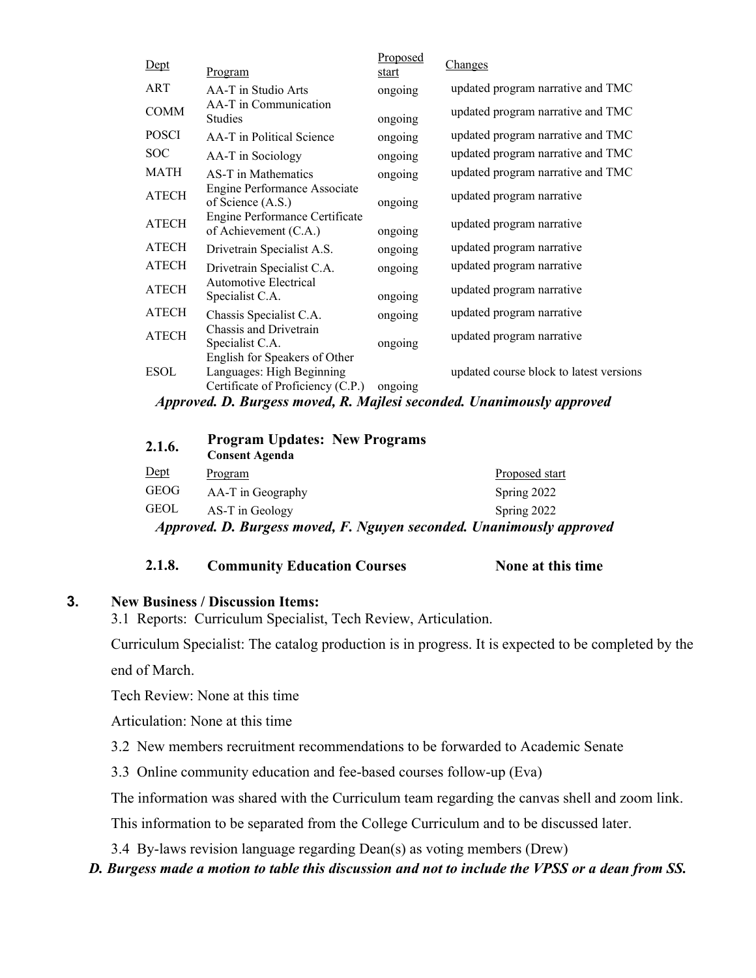| Dept         | Program                                                                                         | Proposed<br>start | Changes                                 |
|--------------|-------------------------------------------------------------------------------------------------|-------------------|-----------------------------------------|
| <b>ART</b>   | AA-T in Studio Arts                                                                             | ongoing           | updated program narrative and TMC       |
| <b>COMM</b>  | AA-T in Communication<br><b>Studies</b>                                                         | ongoing           | updated program narrative and TMC       |
| <b>POSCI</b> | AA-T in Political Science                                                                       | ongoing           | updated program narrative and TMC       |
| <b>SOC</b>   | AA-T in Sociology                                                                               | ongoing           | updated program narrative and TMC       |
| MATH         | AS-T in Mathematics                                                                             | ongoing           | updated program narrative and TMC       |
| <b>ATECH</b> | Engine Performance Associate<br>of Science (A.S.)                                               | ongoing           | updated program narrative               |
| <b>ATECH</b> | Engine Performance Certificate<br>of Achievement (C.A.)                                         | ongoing           | updated program narrative               |
| <b>ATECH</b> | Drivetrain Specialist A.S.                                                                      | ongoing           | updated program narrative               |
| <b>ATECH</b> | Drivetrain Specialist C.A.                                                                      | ongoing           | updated program narrative               |
| <b>ATECH</b> | Automotive Electrical<br>Specialist C.A.                                                        | ongoing           | updated program narrative               |
| <b>ATECH</b> | Chassis Specialist C.A.                                                                         | ongoing           | updated program narrative               |
| <b>ATECH</b> | Chassis and Drivetrain<br>Specialist C.A.                                                       | ongoing           | updated program narrative               |
| <b>ESOL</b>  | English for Speakers of Other<br>Languages: High Beginning<br>Certificate of Proficiency (C.P.) | ongoing           | updated course block to latest versions |

*Approved. D. Burgess moved, R. Majlesi seconded. Unanimously approved*

| 2.1.6.      | <b>Program Updates: New Programs</b><br><b>Consent Agenda</b> |                                                                      |
|-------------|---------------------------------------------------------------|----------------------------------------------------------------------|
| Dept        | Program                                                       | Proposed start                                                       |
| <b>GEOG</b> | AA-T in Geography                                             | Spring 2022                                                          |
| <b>GEOL</b> | AS-T in Geology                                               | Spring 2022                                                          |
|             |                                                               | Approved. D. Burgess moved, F. Nguyen seconded. Unanimously approved |

#### **2.1.8. Community Education Courses None at this time**

#### **3. New Business / Discussion Items:**

3.1 Reports: Curriculum Specialist, Tech Review, Articulation.

Curriculum Specialist: The catalog production is in progress. It is expected to be completed by the end of March.

Tech Review: None at this time

Articulation: None at this time

3.2 New members recruitment recommendations to be forwarded to Academic Senate

3.3 Online community education and fee-based courses follow-up (Eva)

The information was shared with the Curriculum team regarding the canvas shell and zoom link.

This information to be separated from the College Curriculum and to be discussed later.

3.4 By-laws revision language regarding Dean(s) as voting members (Drew)

#### *D. Burgess made a motion to table this discussion and not to include the VPSS or a dean from SS.*